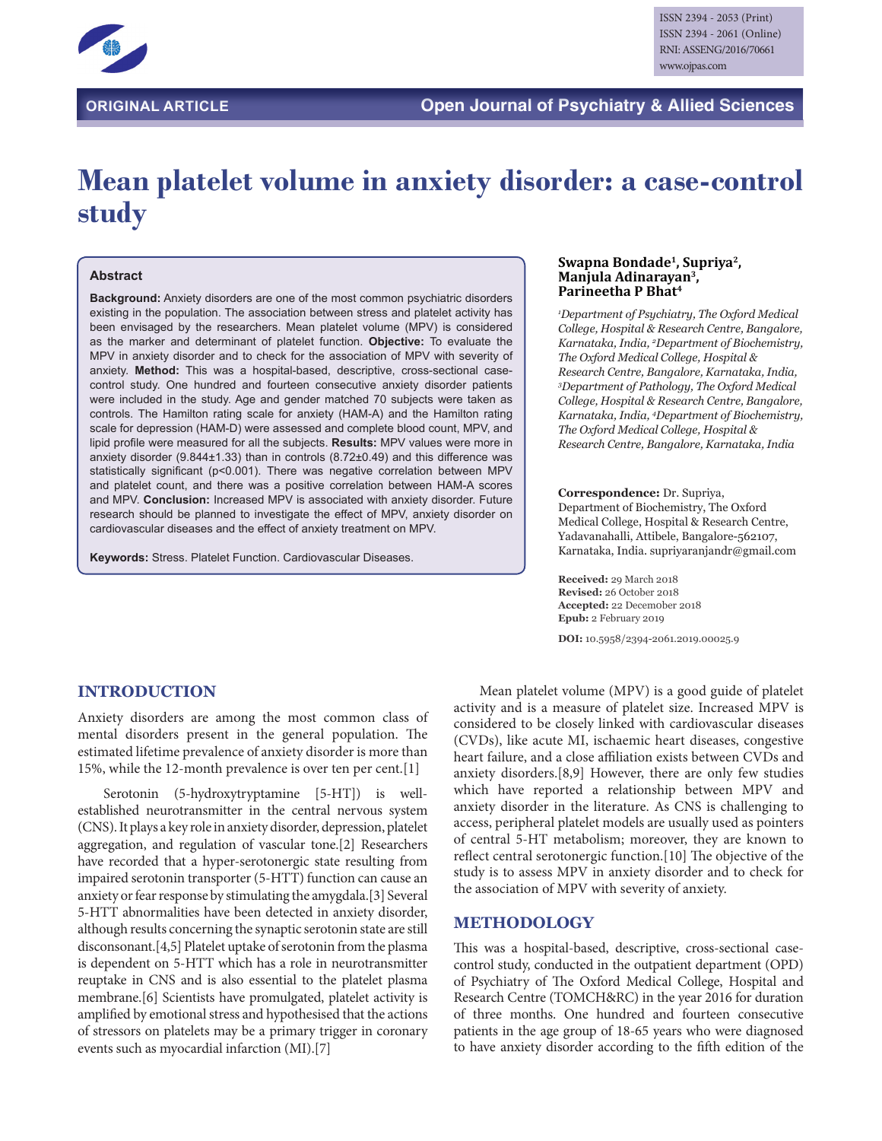

# **Mean platelet volume in anxiety disorder: a case-control study**

#### **Abstract**

**Background:** Anxiety disorders are one of the most common psychiatric disorders existing in the population. The association between stress and platelet activity has been envisaged by the researchers. Mean platelet volume (MPV) is considered as the marker and determinant of platelet function. **Objective:** To evaluate the MPV in anxiety disorder and to check for the association of MPV with severity of anxiety. **Method:** This was a hospital-based, descriptive, cross-sectional casecontrol study. One hundred and fourteen consecutive anxiety disorder patients were included in the study. Age and gender matched 70 subjects were taken as controls. The Hamilton rating scale for anxiety (HAM-A) and the Hamilton rating scale for depression (HAM-D) were assessed and complete blood count, MPV, and lipid profile were measured for all the subjects. **Results:** MPV values were more in anxiety disorder (9.844±1.33) than in controls (8.72±0.49) and this difference was statistically significant (p<0.001). There was negative correlation between MPV and platelet count, and there was a positive correlation between HAM-A scores and MPV. **Conclusion:** Increased MPV is associated with anxiety disorder. Future research should be planned to investigate the effect of MPV, anxiety disorder on cardiovascular diseases and the effect of anxiety treatment on MPV.

**Keywords:** Stress. Platelet Function. Cardiovascular Diseases.

#### **Swapna Bondade1, Supriya2, Manjula Adinarayan3, Parineetha P Bhat4**

*1 Department of Psychiatry, The Oxford Medical College, Hospital & Research Centre, Bangalore, Karnataka, India, 2 Department of Biochemistry, The Oxford Medical College, Hospital & Research Centre, Bangalore, Karnataka, India, 3 Department of Pathology, The Oxford Medical College, Hospital & Research Centre, Bangalore, Karnataka, India, 4 Department of Biochemistry, The Oxford Medical College, Hospital & Research Centre, Bangalore, Karnataka, India*

#### **Correspondence:** Dr. Supriya, Department of Biochemistry, The Oxford Medical College, Hospital & Research Centre, Yadavanahalli, Attibele, Bangalore-562107, Karnataka, India. supriyaranjandr@gmail.com

**Received:** 29 March 2018 **Revised:** 26 October 2018 **Accepted:** 22 Decem0ber 2018 **Epub:** 2 February 2019 **DOI:** 10.5958/2394-2061.2019.00025.9

**INTRODUCTION**

Anxiety disorders are among the most common class of mental disorders present in the general population. The estimated lifetime prevalence of anxiety disorder is more than 15%, while the 12-month prevalence is over ten per cent.[1]

Serotonin (5-hydroxytryptamine [5-HT]) is wellestablished neurotransmitter in the central nervous system (CNS). It plays a key role in anxiety disorder, depression, platelet aggregation, and regulation of vascular tone.[2] Researchers have recorded that a hyper-serotonergic state resulting from impaired serotonin transporter (5-HTT) function can cause an anxiety or fear response by stimulating the amygdala.[3] Several 5-HTT abnormalities have been detected in anxiety disorder, although results concerning the synaptic serotonin state are still disconsonant.[4,5] Platelet uptake of serotonin from the plasma is dependent on 5-HTT which has a role in neurotransmitter reuptake in CNS and is also essential to the platelet plasma membrane.[6] Scientists have promulgated, platelet activity is amplified by emotional stress and hypothesised that the actions of stressors on platelets may be a primary trigger in coronary events such as myocardial infarction (MI).[7]

Mean platelet volume (MPV) is a good guide of platelet activity and is a measure of platelet size. Increased MPV is considered to be closely linked with cardiovascular diseases (CVDs), like acute MI, ischaemic heart diseases, congestive heart failure, and a close affiliation exists between CVDs and anxiety disorders.[8,9] However, there are only few studies which have reported a relationship between MPV and anxiety disorder in the literature. As CNS is challenging to access, peripheral platelet models are usually used as pointers of central 5-HT metabolism; moreover, they are known to reflect central serotonergic function.[10] The objective of the study is to assess MPV in anxiety disorder and to check for the association of MPV with severity of anxiety.

## **METHODOLOGY**

This was a hospital-based, descriptive, cross-sectional casecontrol study, conducted in the outpatient department (OPD) of Psychiatry of The Oxford Medical College, Hospital and Research Centre (TOMCH&RC) in the year 2016 for duration of three months. One hundred and fourteen consecutive patients in the age group of 18-65 years who were diagnosed to have anxiety disorder according to the fifth edition of the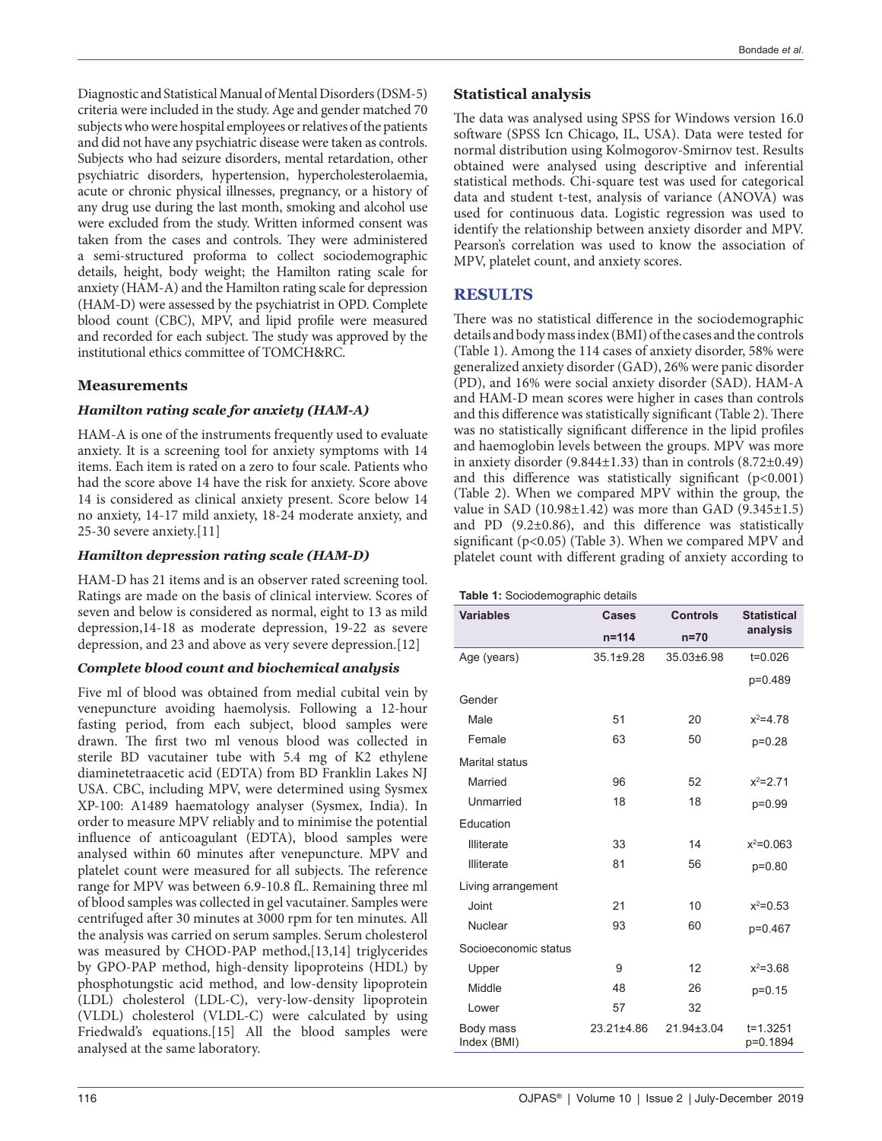Diagnostic and Statistical Manual of Mental Disorders (DSM-5) criteria were included in the study. Age and gender matched 70 subjects who were hospital employees or relatives of the patients and did not have any psychiatric disease were taken as controls. Subjects who had seizure disorders, mental retardation, other psychiatric disorders, hypertension, hypercholesterolaemia, acute or chronic physical illnesses, pregnancy, or a history of any drug use during the last month, smoking and alcohol use were excluded from the study. Written informed consent was taken from the cases and controls. They were administered a semi-structured proforma to collect sociodemographic details, height, body weight; the Hamilton rating scale for anxiety (HAM-A) and the Hamilton rating scale for depression (HAM-D) were assessed by the psychiatrist in OPD. Complete blood count (CBC), MPV, and lipid profile were measured and recorded for each subject. The study was approved by the institutional ethics committee of TOMCH&RC.

## **Measurements**

#### *Hamilton rating scale for anxiety (HAM-A)*

HAM-A is one of the instruments frequently used to evaluate anxiety. It is a screening tool for anxiety symptoms with 14 items. Each item is rated on a zero to four scale. Patients who had the score above 14 have the risk for anxiety. Score above 14 is considered as clinical anxiety present. Score below 14 no anxiety, 14-17 mild anxiety, 18-24 moderate anxiety, and 25-30 severe anxiety.[11]

#### *Hamilton depression rating scale (HAM-D)*

HAM-D has 21 items and is an observer rated screening tool. Ratings are made on the basis of clinical interview. Scores of seven and below is considered as normal, eight to 13 as mild depression,14-18 as moderate depression, 19-22 as severe depression, and 23 and above as very severe depression.[12]

#### *Complete blood count and biochemical analysis*

Five ml of blood was obtained from medial cubital vein by venepuncture avoiding haemolysis. Following a 12-hour fasting period, from each subject, blood samples were drawn. The first two ml venous blood was collected in sterile BD vacutainer tube with 5.4 mg of K2 ethylene diaminetetraacetic acid (EDTA) from BD Franklin Lakes NJ USA. CBC, including MPV, were determined using Sysmex XP-100: A1489 haematology analyser (Sysmex, India). In order to measure MPV reliably and to minimise the potential influence of anticoagulant (EDTA), blood samples were analysed within 60 minutes after venepuncture. MPV and platelet count were measured for all subjects. The reference range for MPV was between 6.9-10.8 fL. Remaining three ml of blood samples was collected in gel vacutainer. Samples were centrifuged after 30 minutes at 3000 rpm for ten minutes. All the analysis was carried on serum samples. Serum cholesterol was measured by CHOD-PAP method,[13,14] triglycerides by GPO-PAP method, high-density lipoproteins (HDL) by phosphotungstic acid method, and low-density lipoprotein (LDL) cholesterol (LDL-C), very-low-density lipoprotein (VLDL) cholesterol (VLDL-C) were calculated by using Friedwald's equations.[15] All the blood samples were analysed at the same laboratory.

## **Statistical analysis**

The data was analysed using SPSS for Windows version 16.0 software (SPSS Icn Chicago, IL, USA). Data were tested for normal distribution using Kolmogorov-Smirnov test. Results obtained were analysed using descriptive and inferential statistical methods. Chi-square test was used for categorical data and student t-test, analysis of variance (ANOVA) was used for continuous data. Logistic regression was used to identify the relationship between anxiety disorder and MPV. Pearson's correlation was used to know the association of MPV, platelet count, and anxiety scores.

## **RESULTS**

There was no statistical difference in the sociodemographic details and body mass index (BMI) of the cases and the controls (Table 1). Among the 114 cases of anxiety disorder, 58% were generalized anxiety disorder (GAD), 26% were panic disorder (PD), and 16% were social anxiety disorder (SAD). HAM-A and HAM-D mean scores were higher in cases than controls and this difference was statistically significant (Table 2). There was no statistically significant difference in the lipid profiles and haemoglobin levels between the groups. MPV was more in anxiety disorder  $(9.844\pm1.33)$  than in controls  $(8.72\pm0.49)$ and this difference was statistically significant  $(p<0.001)$ (Table 2). When we compared MPV within the group, the value in SAD  $(10.98\pm1.42)$  was more than GAD  $(9.345\pm1.5)$ and PD (9.2±0.86), and this difference was statistically significant (p<0.05) (Table 3). When we compared MPV and platelet count with different grading of anxiety according to

| <b>Variables</b>         | Cases           | <b>Controls</b>  | <b>Statistical</b>       |
|--------------------------|-----------------|------------------|--------------------------|
|                          | $n = 114$       | $n=70$           | analysis                 |
| Age (years)              | $35.1 \pm 9.28$ | 35.03±6.98       | $t = 0.026$              |
|                          |                 |                  | p=0.489                  |
| Gender                   |                 |                  |                          |
| Male                     | 51              | 20               | $x^2 = 4.78$             |
| Female                   | 63              | 50               | $p=0.28$                 |
| Marital status           |                 |                  |                          |
| Married                  | 96              | 52               | $x^2 = 2.71$             |
| Unmarried                | 18              | 18               | p=0.99                   |
| Education                |                 |                  |                          |
| <b>Illiterate</b>        | 33              | 14               | $x^2 = 0.063$            |
| <b>Illiterate</b>        | 81              | 56               | p=0.80                   |
| Living arrangement       |                 |                  |                          |
| Joint                    | 21              | 10               | $x^2 = 0.53$             |
| Nuclear                  | 93              | 60               | p=0.467                  |
| Socioeconomic status     |                 |                  |                          |
| Upper                    | 9               | 12               | $x^2 = 3.68$             |
| Middle                   | 48              | 26               | $p=0.15$                 |
| Lower                    | 57              | 32               |                          |
| Body mass<br>Index (BMI) | 23.21±4.86      | $21.94 \pm 3.04$ | $t = 1.3251$<br>p=0.1894 |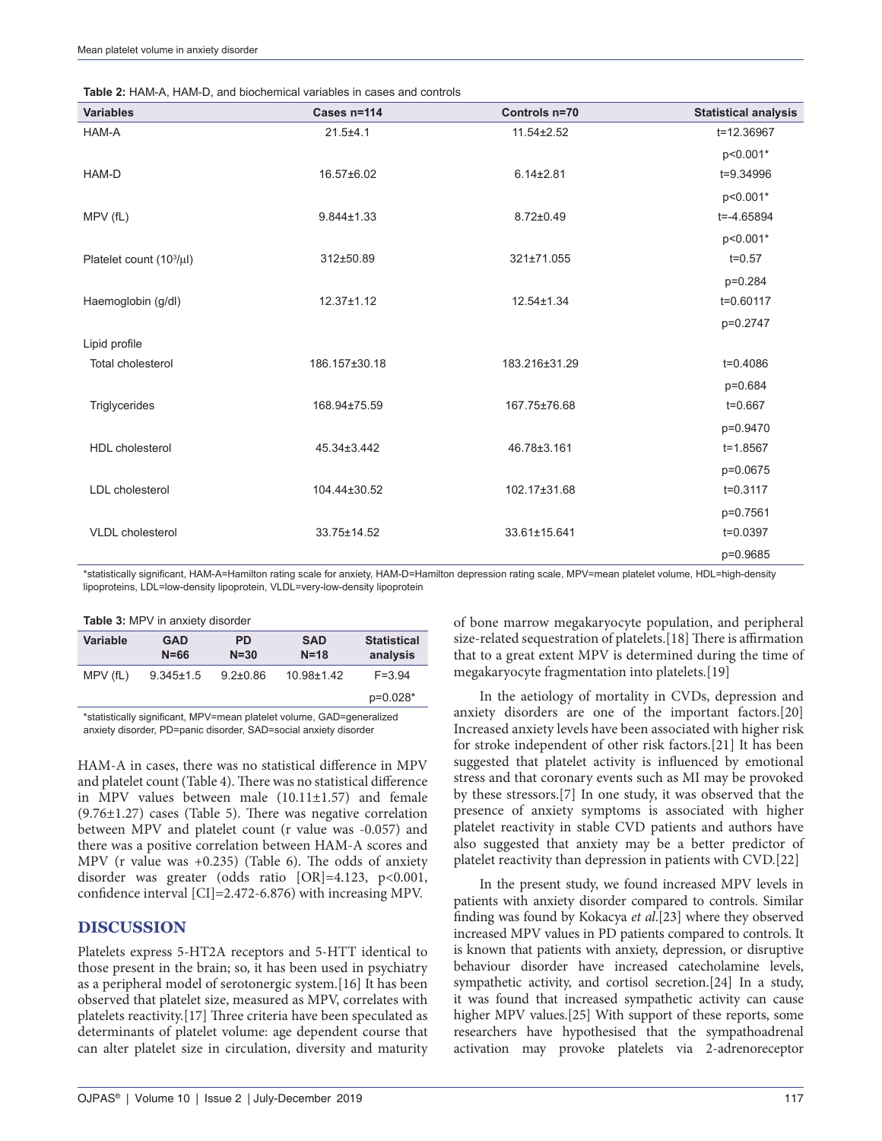|  | <b>Table 2: HAM-A, HAM-D, and biochemical variables in cases and controls</b> |
|--|-------------------------------------------------------------------------------|
|  |                                                                               |

| <b>Variables</b>                     | Cases n=114      | Controls n=70   | <b>Statistical analysis</b> |
|--------------------------------------|------------------|-----------------|-----------------------------|
| HAM-A                                | $21.5 + 4.1$     | 11.54±2.52      | t=12.36967                  |
|                                      |                  |                 | p<0.001*                    |
| HAM-D                                | 16.57±6.02       | $6.14 \pm 2.81$ | t=9.34996                   |
|                                      |                  |                 | p<0.001*                    |
| MPV(fL)                              | $9.844 \pm 1.33$ | $8.72 \pm 0.49$ | $t = -4.65894$              |
|                                      |                  |                 | p<0.001*                    |
| Platelet count (10 <sup>3</sup> /µl) | 312±50.89        | 321±71.055      | $t = 0.57$                  |
|                                      |                  |                 | p=0.284                     |
| Haemoglobin (g/dl)                   | $12.37 \pm 1.12$ | 12.54±1.34      | t=0.60117                   |
|                                      |                  |                 | p=0.2747                    |
| Lipid profile                        |                  |                 |                             |
| <b>Total cholesterol</b>             | 186.157±30.18    | 183.216±31.29   | $t = 0.4086$                |
|                                      |                  |                 | p=0.684                     |
| Triglycerides                        | 168.94±75.59     | 167.75±76.68    | $t = 0.667$                 |
|                                      |                  |                 | p=0.9470                    |
| <b>HDL</b> cholesterol               | 45.34±3.442      | 46.78±3.161     | $t = 1.8567$                |
|                                      |                  |                 | p=0.0675                    |
| LDL cholesterol                      | 104.44±30.52     | 102.17±31.68    | $t = 0.3117$                |
|                                      |                  |                 | p=0.7561                    |
| <b>VLDL</b> cholesterol              | 33.75±14.52      | 33.61±15.641    | t=0.0397                    |
|                                      |                  |                 | p=0.9685                    |

\*statistically significant, HAM‑A=Hamilton rating scale for anxiety, HAM‑D=Hamilton depression rating scale, MPV=mean platelet volume, HDL=high‑density lipoproteins, LDL=low-density lipoprotein, VLDL=very-low-density lipoprotein

|  |  |  |  |  | Table 3: MPV in anxiety disorder |
|--|--|--|--|--|----------------------------------|
|--|--|--|--|--|----------------------------------|

| <b>Variable</b> | <b>GAD</b><br>$N = 66$ | <b>PD</b><br>$N = 30$ | <b>SAD</b><br>$N = 18$ | <b>Statistical</b><br>analysis |  |
|-----------------|------------------------|-----------------------|------------------------|--------------------------------|--|
| MPV(fL)         | $9.345 \pm 1.5$        | $9.2 \pm 0.86$        | 10.98±1.42             | $F = 3.94$                     |  |
|                 |                        |                       |                        | p=0.028*                       |  |
|                 |                        |                       |                        |                                |  |

\*statistically significant, MPV=mean platelet volume, GAD=generalized anxiety disorder, PD=panic disorder, SAD=social anxiety disorder

HAM-A in cases, there was no statistical difference in MPV and platelet count (Table 4). There was no statistical difference in MPV values between male (10.11±1.57) and female  $(9.76\pm1.27)$  cases (Table 5). There was negative correlation between MPV and platelet count (r value was -0.057) and there was a positive correlation between HAM-A scores and MPV (r value was +0.235) (Table 6). The odds of anxiety disorder was greater (odds ratio [OR]=4.123, p<0.001, confidence interval [CI]=2.472-6.876) with increasing MPV.

## **DISCUSSION**

Platelets express 5-HT2A receptors and 5-HTT identical to those present in the brain; so, it has been used in psychiatry as a peripheral model of serotonergic system.[16] It has been observed that platelet size, measured as MPV, correlates with platelets reactivity.[17] Three criteria have been speculated as determinants of platelet volume: age dependent course that can alter platelet size in circulation, diversity and maturity of bone marrow megakaryocyte population, and peripheral size-related sequestration of platelets.[18] There is affirmation that to a great extent MPV is determined during the time of megakaryocyte fragmentation into platelets.[19]

In the aetiology of mortality in CVDs, depression and anxiety disorders are one of the important factors.[20] Increased anxiety levels have been associated with higher risk for stroke independent of other risk factors.[21] It has been suggested that platelet activity is influenced by emotional stress and that coronary events such as MI may be provoked by these stressors.[7] In one study, it was observed that the presence of anxiety symptoms is associated with higher platelet reactivity in stable CVD patients and authors have also suggested that anxiety may be a better predictor of platelet reactivity than depression in patients with CVD.[22]

In the present study, we found increased MPV levels in patients with anxiety disorder compared to controls. Similar finding was found by Kokacya *et al*.[23] where they observed increased MPV values in PD patients compared to controls. It is known that patients with anxiety, depression, or disruptive behaviour disorder have increased catecholamine levels, sympathetic activity, and cortisol secretion.[24] In a study, it was found that increased sympathetic activity can cause higher MPV values.[25] With support of these reports, some researchers have hypothesised that the sympathoadrenal activation may provoke platelets via 2-adrenoreceptor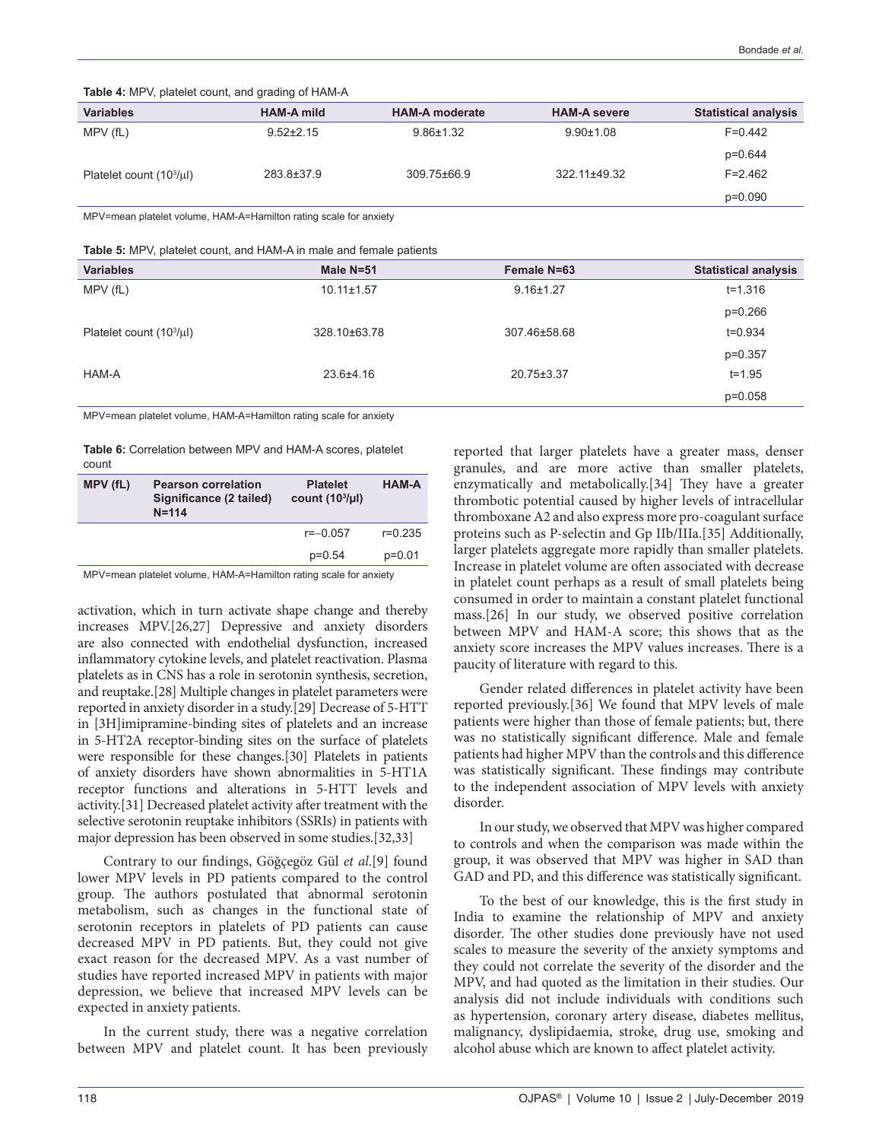**Table 4:** MPV, platelet count, and grading of HAM-A

| <b>Variables</b>             | <b>HAM-A mild</b> | <b>HAM-A moderate</b> | <b>HAM-A severe</b> | <b>Statistical analysis</b> |
|------------------------------|-------------------|-----------------------|---------------------|-----------------------------|
| MPV (fL)                     | $9.52 \pm 2.15$   | $9.86 \pm 1.32$       | $9.90 \pm 1.08$     | $F=0.442$                   |
|                              |                   |                       |                     | $p=0.644$                   |
| Platelet count $(103/\mu l)$ | 283.8±37.9        | 309.75±66.9           | 322.11±49.32        | $F = 2.462$                 |
|                              |                   |                       |                     | $p=0.090$                   |

MPV=mean platelet volume, HAM-A=Hamilton rating scale for anxiety

**Table 5:** MPV, platelet count, and HAM-A in male and female patients

| <b>Variables</b>             | Male N=51        | Female N=63     | <b>Statistical analysis</b> |
|------------------------------|------------------|-----------------|-----------------------------|
| MPV (fL)                     | $10.11 \pm 1.57$ | $9.16 \pm 1.27$ | $t = 1.316$                 |
|                              |                  |                 | $p=0.266$                   |
| Platelet count $(103/\mu l)$ | 328.10±63.78     | 307.46±58.68    | $t = 0.934$                 |
|                              |                  |                 | $p=0.357$                   |
| HAM-A                        | 23.6±4.16        | 20.75±3.37      | $t = 1.95$                  |
|                              |                  |                 | $p=0.058$                   |

MPV=mean platelet volume, HAM-A=Hamilton rating scale for anxiety

**Table 6:** Correlation between MPV and HAM-A scores, platelet count

| MPV (fL) | <b>Pearson correlation</b><br>Significance (2 tailed)<br>$N = 114$ | <b>Platelet</b><br>count $(103/\mu l)$ | <b>HAM-A</b> |
|----------|--------------------------------------------------------------------|----------------------------------------|--------------|
|          |                                                                    | $r=-0.057$                             | $r = 0.235$  |
|          |                                                                    | $p=0.54$                               | $p=0.01$     |

MPV=mean platelet volume, HAM-A=Hamilton rating scale for anxiety

activation, which in turn activate shape change and thereby increases MPV.[26,27] Depressive and anxiety disorders are also connected with endothelial dysfunction, increased inflammatory cytokine levels, and platelet reactivation. Plasma platelets as in CNS has a role in serotonin synthesis, secretion, and reuptake.[28] Multiple changes in platelet parameters were reported in anxiety disorder in a study.[29] Decrease of 5-HTT in [3H]imipramine-binding sites of platelets and an increase in 5-HT2A receptor-binding sites on the surface of platelets were responsible for these changes.[30] Platelets in patients of anxiety disorders have shown abnormalities in 5-HT1A receptor functions and alterations in 5-HTT levels and activity.[31] Decreased platelet activity after treatment with the selective serotonin reuptake inhibitors (SSRIs) in patients with major depression has been observed in some studies.[32,33]

Contrary to our findings, Göğçegöz Gül *et al*.[9] found lower MPV levels in PD patients compared to the control group. The authors postulated that abnormal serotonin metabolism, such as changes in the functional state of serotonin receptors in platelets of PD patients can cause decreased MPV in PD patients. But, they could not give exact reason for the decreased MPV. As a vast number of studies have reported increased MPV in patients with major depression, we believe that increased MPV levels can be expected in anxiety patients.

In the current study, there was a negative correlation between MPV and platelet count. It has been previously

reported that larger platelets have a greater mass, denser granules, and are more active than smaller platelets, enzymatically and metabolically.[34] They have a greater thrombotic potential caused by higher levels of intracellular thromboxane A2 and also express more pro-coagulant surface proteins such as P-selectin and Gp IIb/IIIa.[35] Additionally, larger platelets aggregate more rapidly than smaller platelets. Increase in platelet volume are often associated with decrease in platelet count perhaps as a result of small platelets being consumed in order to maintain a constant platelet functional mass.[26] In our study, we observed positive correlation between MPV and HAM-A score; this shows that as the anxiety score increases the MPV values increases. There is a paucity of literature with regard to this.

Gender related differences in platelet activity have been reported previously.[36] We found that MPV levels of male patients were higher than those of female patients; but, there was no statistically significant difference. Male and female patients had higher MPV than the controls and this difference was statistically significant. These findings may contribute to the independent association of MPV levels with anxiety disorder.

In our study, we observed that MPV was higher compared to controls and when the comparison was made within the group, it was observed that MPV was higher in SAD than GAD and PD, and this difference was statistically significant.

To the best of our knowledge, this is the first study in India to examine the relationship of MPV and anxiety disorder. The other studies done previously have not used scales to measure the severity of the anxiety symptoms and they could not correlate the severity of the disorder and the MPV, and had quoted as the limitation in their studies. Our analysis did not include individuals with conditions such as hypertension, coronary artery disease, diabetes mellitus, malignancy, dyslipidaemia, stroke, drug use, smoking and alcohol abuse which are known to affect platelet activity.